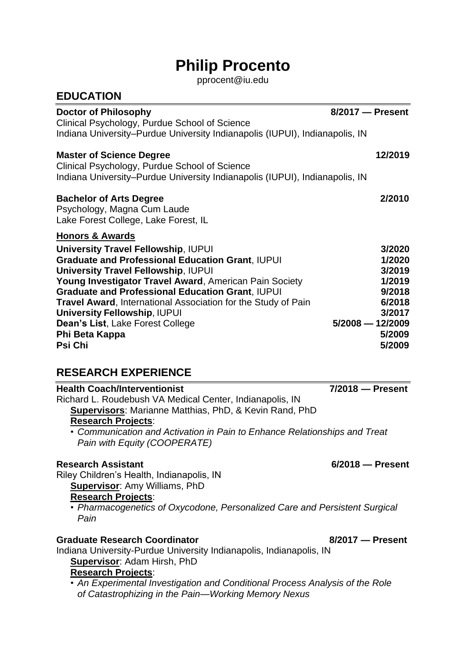# **Philip Procento**

[pprocent@iu.e](mailto:pprocent@iu.)du

| <b>EDUCATION</b>                                                                                                                                                                                                                                                                                                                                                                                                                                                                              |                                                                                                              |
|-----------------------------------------------------------------------------------------------------------------------------------------------------------------------------------------------------------------------------------------------------------------------------------------------------------------------------------------------------------------------------------------------------------------------------------------------------------------------------------------------|--------------------------------------------------------------------------------------------------------------|
| <b>Doctor of Philosophy</b><br>Clinical Psychology, Purdue School of Science                                                                                                                                                                                                                                                                                                                                                                                                                  | 8/2017 - Present                                                                                             |
| Indiana University-Purdue University Indianapolis (IUPUI), Indianapolis, IN                                                                                                                                                                                                                                                                                                                                                                                                                   |                                                                                                              |
| <b>Master of Science Degree</b><br>Clinical Psychology, Purdue School of Science<br>Indiana University–Purdue University Indianapolis (IUPUI), Indianapolis, IN                                                                                                                                                                                                                                                                                                                               | 12/2019                                                                                                      |
| <b>Bachelor of Arts Degree</b><br>Psychology, Magna Cum Laude<br>Lake Forest College, Lake Forest, IL                                                                                                                                                                                                                                                                                                                                                                                         | 2/2010                                                                                                       |
| <b>Honors &amp; Awards</b><br><b>University Travel Fellowship, IUPUI</b><br><b>Graduate and Professional Education Grant, IUPUI</b><br><b>University Travel Fellowship, IUPUI</b><br>Young Investigator Travel Award, American Pain Society<br><b>Graduate and Professional Education Grant, IUPUI</b><br><b>Travel Award, International Association for the Study of Pain</b><br><b>University Fellowship, IUPUI</b><br>Dean's List, Lake Forest College<br>Phi Beta Kappa<br><b>Psi Chi</b> | 3/2020<br>1/2020<br>3/2019<br>1/2019<br>9/2018<br>6/2018<br>3/2017<br>$5/2008 - 12/2009$<br>5/2009<br>5/2009 |
| <b>RESEARCH EXPERIENCE</b>                                                                                                                                                                                                                                                                                                                                                                                                                                                                    |                                                                                                              |
| <b>Health Coach/Interventionist</b><br>Richard L. Roudebush VA Medical Center, Indianapolis, IN<br>Supervisors: Marianne Matthias, PhD, & Kevin Rand, PhD<br><b>Research Projects:</b><br>• Communication and Activation in Pain to Enhance Relationships and Treat<br>Pain with Equity (COOPERATE)                                                                                                                                                                                           | $7/2018$ - Present                                                                                           |
| <b>Research Assistant</b><br>Riley Children's Health, Indianapolis, IN<br><b>Supervisor: Amy Williams, PhD</b><br><b>Research Projects:</b><br>• Pharmacogenetics of Oxycodone, Personalized Care and Persistent Surgical<br>Pain                                                                                                                                                                                                                                                             | $6/2018$ - Present                                                                                           |
| <b>Graduate Research Coordinator</b><br>Indiana University-Purdue University Indianapolis, Indianapolis, IN<br><b>Supervisor: Adam Hirsh, PhD</b><br><b>Research Projects:</b><br>• An Experimental Investigation and Conditional Process Analysis of the Role<br>of Catastrophizing in the Pain-Working Memory Nexus                                                                                                                                                                         | 8/2017 - Present                                                                                             |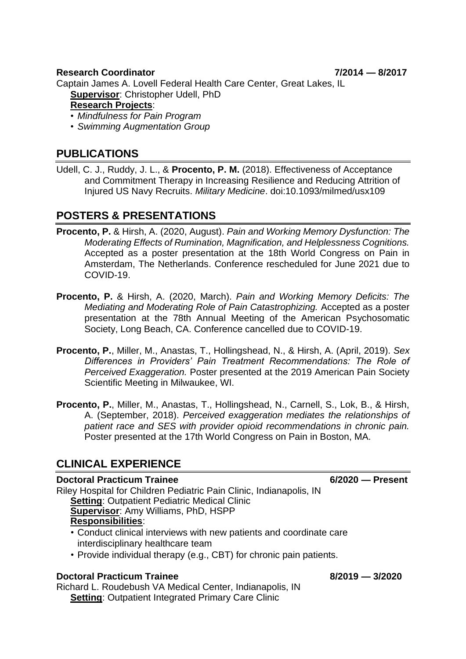#### **Research Coordinator 7/2014 — 8/2017**

Captain James A. Lovell Federal Health Care Center, Great Lakes, IL

**Supervisor**: Christopher Udell, PhD

### **Research Projects**:

• *Mindfulness for Pain Program*

• *Swimming Augmentation Group*

# **PUBLICATIONS**

Udell, C. J., Ruddy, J. L., & **Procento, P. M.** (2018). Effectiveness of Acceptance and Commitment Therapy in Increasing Resilience and Reducing Attrition of Injured US Navy Recruits. *Military Medicine*. doi:10.1093/milmed/usx109

# **POSTERS & PRESENTATIONS**

- **Procento, P.** & Hirsh, A. (2020, August). *Pain and Working Memory Dysfunction: The Moderating Effects of Rumination, Magnification, and Helplessness Cognitions.* Accepted as a poster presentation at the 18th World Congress on Pain in Amsterdam, The Netherlands. Conference rescheduled for June 2021 due to COVID-19.
- **Procento, P.** & Hirsh, A. (2020, March). *Pain and Working Memory Deficits: The Mediating and Moderating Role of Pain Catastrophizing.* Accepted as a poster presentation at the 78th Annual Meeting of the American Psychosomatic Society, Long Beach, CA. Conference cancelled due to COVID-19.
- **Procento, P.**, Miller, M., Anastas, T., Hollingshead, N., & Hirsh, A. (April, 2019). *Sex Differences in Providers' Pain Treatment Recommendations: The Role of Perceived Exaggeration.* Poster presented at the 2019 American Pain Society Scientific Meeting in Milwaukee, WI.
- **Procento, P.**, Miller, M., Anastas, T., Hollingshead, N., Carnell, S., Lok, B., & Hirsh, A. (September, 2018). *Perceived exaggeration mediates the relationships of patient race and SES with provider opioid recommendations in chronic pain.* Poster presented at the 17th World Congress on Pain in Boston, MA.

# **CLINICAL EXPERIENCE**

### **Doctoral Practicum Trainee 6/2020 — Present**

Riley Hospital for Children Pediatric Pain Clinic, Indianapolis, IN **Setting**: Outpatient Pediatric Medical Clinic **Supervisor**: Amy Williams, PhD, HSPP **Responsibilities**: • Conduct clinical interviews with new patients and coordinate care

- interdisciplinary healthcare team
- Provide individual therapy (e.g., CBT) for chronic pain patients.

### **Doctoral Practicum Trainee 8/2019 — 3/2020**

Richard L. Roudebush VA Medical Center, Indianapolis, IN **Setting: Outpatient Integrated Primary Care Clinic**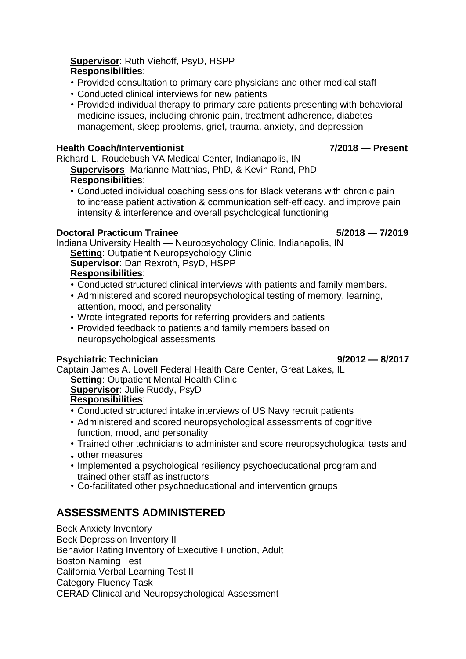### **Supervisor**: Ruth Viehoff, PsyD, HSPP **Responsibilities**:

- Provided consultation to primary care physicians and other medical staff
- Conducted clinical interviews for new patients
- Provided individual therapy to primary care patients presenting with behavioral medicine issues, including chronic pain, treatment adherence, diabetes management, sleep problems, grief, trauma, anxiety, and depression

### **Health Coach/Interventionist 7/2018 — Present**

Richard L. Roudebush VA Medical Center, Indianapolis, IN **Supervisors**: Marianne Matthias, PhD, & Kevin Rand, PhD **Responsibilities**:

• Conducted individual coaching sessions for Black veterans with chronic pain to increase patient activation & communication self-efficacy, and improve pain intensity & interference and overall psychological functioning

### **Doctoral Practicum Trainee 5/2018 — 7/2019**

Indiana University Health — Neuropsychology Clinic, Indianapolis, IN **Setting: Outpatient Neuropsychology Clinic** 

**Supervisor**: Dan Rexroth, PsyD, HSPP **Responsibilities**:

- Conducted structured clinical interviews with patients and family members.
- Administered and scored neuropsychological testing of memory, learning, attention, mood, and personality
- Wrote integrated reports for referring providers and patients
- Provided feedback to patients and family members based on neuropsychological assessments

### **Psychiatric Technician 19/2012 – 8/2017**

Captain James A. Lovell Federal Health Care Center, Great Lakes, IL **Setting**: Outpatient Mental Health Clinic

**Supervisor**: Julie Ruddy, PsyD **Responsibilities**:

- Conducted structured intake interviews of US Navy recruit patients
- Administered and scored neuropsychological assessments of cognitive function, mood, and personality
- Trained other technicians to administer and score neuropsychological tests and
- other measures
- Implemented a psychological resiliency psychoeducational program and trained other staff as instructors
- Co-facilitated other psychoeducational and intervention groups

# **ASSESSMENTS ADMINISTERED**

Beck Anxiety Inventory Beck Depression Inventory II Behavior Rating Inventory of Executive Function, Adult Boston Naming Test California Verbal Learning Test II Category Fluency Task CERAD Clinical and Neuropsychological Assessment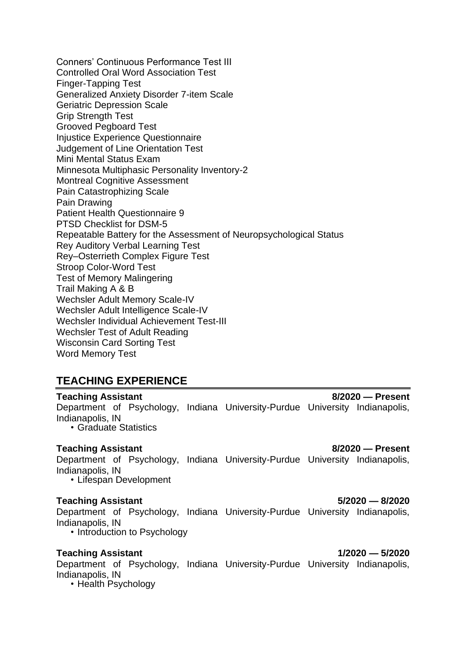Conners' Continuous Performance Test III Controlled Oral Word Association Test Finger-Tapping Test Generalized Anxiety Disorder 7-item Scale Geriatric Depression Scale Grip Strength Test Grooved Pegboard Test Injustice Experience Questionnaire Judgement of Line Orientation Test Mini Mental Status Exam Minnesota Multiphasic Personality Inventory-2 Montreal Cognitive Assessment Pain Catastrophizing Scale Pain Drawing Patient Health Questionnaire 9 PTSD Checklist for DSM-5 Repeatable Battery for the Assessment of Neuropsychological Status Rey Auditory Verbal Learning Test Rey–Osterrieth Complex Figure Test Stroop Color-Word Test Test of Memory Malingering Trail Making A & B Wechsler Adult Memory Scale-IV Wechsler Adult Intelligence Scale-IV Wechsler Individual Achievement Test-III Wechsler Test of Adult Reading Wisconsin Card Sorting Test Word Memory Test

# **TEACHING EXPERIENCE**

**Teaching Assistant 8/2020 — Present** Department of Psychology, Indiana University-Purdue University Indianapolis, Indianapolis, IN • Graduate Statistics

Department of Psychology, Indiana University-Purdue University Indianapolis, Indianapolis, IN

• Lifespan Development

### **Teaching Assistant 5/2020 — 8/2020**

Department of Psychology, Indiana University-Purdue University Indianapolis, Indianapolis, IN

• Introduction to Psychology

### **Teaching Assistant 1/2020 — 5/2020**

Department of Psychology, Indiana University-Purdue University Indianapolis, Indianapolis, IN

• Health Psychology

**Teaching Assistant 8/2020 — Present**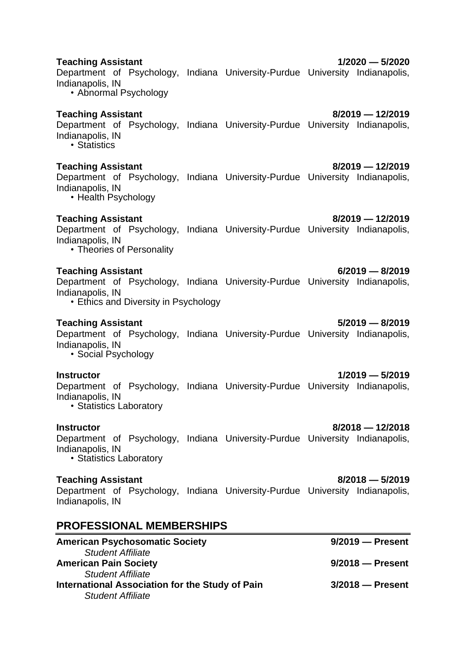# • Health Psychology **Teaching Assistant 8/2019 — 12/2019** Department of Psychology, Indiana University-Purdue University Indianapolis, Indianapolis, IN • Theories of Personality **Teaching Assistant 6/2019 — 8/2019**

Department of Psychology, Indiana University-Purdue University Indianapolis, Indianapolis, IN

• Ethics and Diversity in Psychology

### **Teaching Assistant 5/2019 — 8/2019**

Department of Psychology, Indiana University-Purdue University Indianapolis, Indianapolis, IN

• Social Psychology

Department of Psychology, Indiana University-Purdue University Indianapolis, Indianapolis, IN

• Statistics Laboratory

Department of Psychology, Indiana University-Purdue University Indianapolis, Indianapolis, IN • Statistics Laboratory

### **Teaching Assistant 8/2018 — 5/2019**

Department of Psychology, Indiana University-Purdue University Indianapolis, Indianapolis, IN

# **PROFESSIONAL MEMBERSHIPS**

| <b>American Psychosomatic Society</b>           | $9/2019$ - Present |
|-------------------------------------------------|--------------------|
| <b>Student Affiliate</b>                        |                    |
| <b>American Pain Society</b>                    | $9/2018$ - Present |
| <b>Student Affiliate</b>                        |                    |
| International Association for the Study of Pain | $3/2018$ - Present |
| <b>Student Affiliate</b>                        |                    |

#### **Teaching Assistant 1/2020 — 5/2020**

Department of Psychology, Indiana University-Purdue University Indianapolis, Indianapolis, IN

• Abnormal Psychology

### **Teaching Assistant 8/2019 — 12/2019**

Department of Psychology, Indiana University-Purdue University Indianapolis, Indianapolis, IN • Statistics

### **Teaching Assistant 8/2019 — 12/2019**

Indianapolis, IN

Department of Psychology, Indiana University-Purdue University Indianapolis,

### **Instructor 1/2019 — 5/2019**

#### **Instructor 8/2018 — 12/2018**